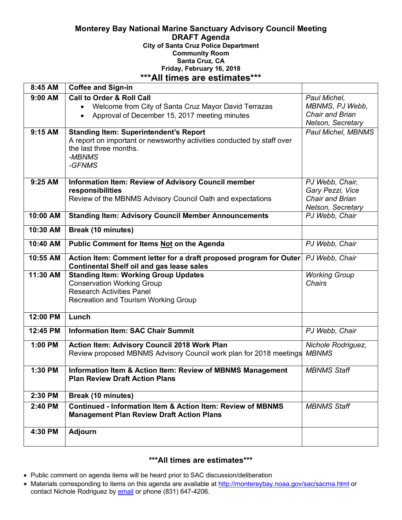#### **Monterey Bay National Marine Sanctuary Advisory Council Meeting DRAFT Agenda City of Santa Cruz Police Department Community Room Santa Cruz, CA Friday, February 16, 2018 \*\*\*All times are estimates\*\*\***

| 8:45 AM   | <b>Coffee and Sign-in</b>                                                                                                                                               |                                                                             |
|-----------|-------------------------------------------------------------------------------------------------------------------------------------------------------------------------|-----------------------------------------------------------------------------|
| 9:00 AM   | <b>Call to Order &amp; Roll Call</b><br>Welcome from City of Santa Cruz Mayor David Terrazas<br>$\bullet$<br>Approval of December 15, 2017 meeting minutes<br>$\bullet$ | Paul Michel,<br>MBNMS, PJ Webb,<br>Chair and Brian<br>Nelson, Secretary     |
| 9:15 AM   | <b>Standing Item: Superintendent's Report</b><br>A report on important or newsworthy activities conducted by staff over<br>the last three months.<br>-MBNMS<br>-GFNMS   | Paul Michel, MBNMS                                                          |
| $9:25$ AM | <b>Information Item: Review of Advisory Council member</b><br>responsibilities<br>Review of the MBNMS Advisory Council Oath and expectations                            | PJ Webb, Chair,<br>Gary Pezzi, Vice<br>Chair and Brian<br>Nelson, Secretary |
| 10:00 AM  | <b>Standing Item: Advisory Council Member Announcements</b>                                                                                                             | PJ Webb, Chair                                                              |
| 10:30 AM  | Break (10 minutes)                                                                                                                                                      |                                                                             |
| 10:40 AM  | Public Comment for Items Not on the Agenda                                                                                                                              | PJ Webb, Chair                                                              |
| 10:55 AM  | Action Item: Comment letter for a draft proposed program for Outer<br><b>Continental Shelf oil and gas lease sales</b>                                                  | PJ Webb, Chair                                                              |
| 11:30 AM  | <b>Standing Item: Working Group Updates</b><br><b>Conservation Working Group</b><br><b>Research Activities Panel</b><br><b>Recreation and Tourism Working Group</b>     | <b>Working Group</b><br>Chairs                                              |
| 12:00 PM  | Lunch                                                                                                                                                                   |                                                                             |
| 12:45 PM  | <b>Information Item: SAC Chair Summit</b>                                                                                                                               | PJ Webb, Chair                                                              |
| 1:00 PM   | <b>Action Item: Advisory Council 2018 Work Plan</b><br>Review proposed MBNMS Advisory Council work plan for 2018 meetings                                               | Nichole Rodriguez,<br><b>MBNMS</b>                                          |
| 1:30 PM   | Information Item & Action Item: Review of MBNMS Management<br><b>Plan Review Draft Action Plans</b>                                                                     | <b>MBNMS Staff</b>                                                          |
| 2:30 PM   | <b>Break (10 minutes)</b>                                                                                                                                               |                                                                             |
| 2:40 PM   | <b>Continued - Information Item &amp; Action Item: Review of MBNMS</b><br><b>Management Plan Review Draft Action Plans</b>                                              | <b>MBNMS Staff</b>                                                          |
| 4:30 PM   | <b>Adjourn</b>                                                                                                                                                          |                                                                             |

# **\*\*\*All times are estimates\*\*\***

- Public comment on agenda items will be heard prior to SAC discussion/deliberation
- Materials corresponding to items on this agenda are available at http://montereybay.noaa.gov/sac/sacma.html or contact Nichole Rodriguez by email or phone (831) 647-4206.